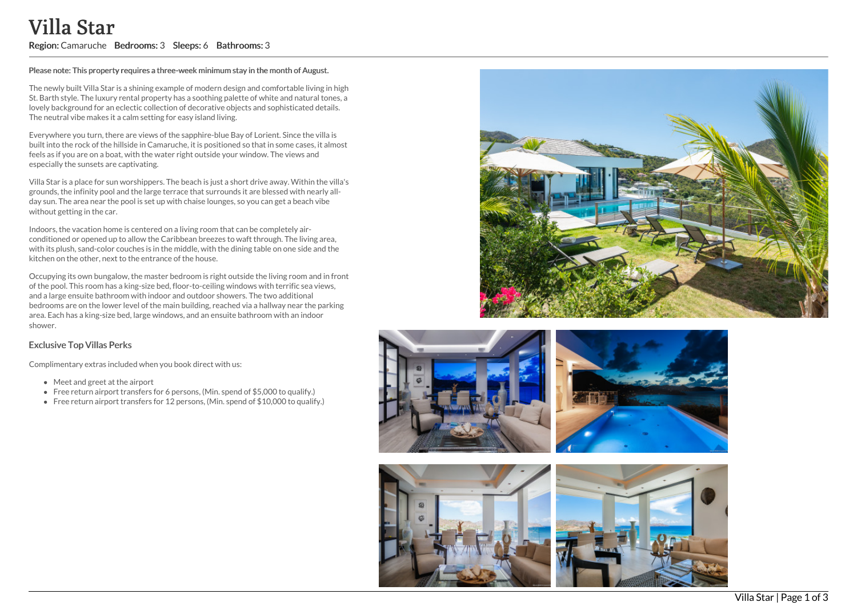## Please note: This property requires a three-week minimum stay in the month of August.

The newly built Villa Star is a shining example of modern design and comfortable living in high St. Barth style. The luxury rental property has a soothing palette of white and natural tones, a lovely background for an eclectic collection of decorative objects and sophisticated details. The neutral vibe makes it a calm setting for easy island living.

Everywhere you turn, there are views of the sapphire-blue Bay of Lorient. Since the villa is built into the rock of the hillside in Camaruche, it is positioned so that in some cases, it almost feels as if you are on a boat, with the water right outside your window. The views and especially the sunsets are captivating.

Villa Star is a place for sun worshippers. The beach is just a short drive away. Within the villa's grounds, the infinity pool and the large terrace that surrounds it are blessed with nearly allday sun. The area near the pool is set up with chaise lounges, so you can get a beach vibe without getting in the car.

Indoors, the vacation home is centered on a living room that can be completely airconditioned or opened up to allow the Caribbean breezes to waft through. The living area, with its plush, sand-color couches is in the middle, with the dining table on one side and the kitchen on the other, next to the entrance of the house.

Occupying its own bungalow, the master bedroom is right outside the living room and in front of the pool. This room has a king-size bed, floor-to-ceiling windows with terrific sea views, and a large ensuite bathroom with indoor and outdoor showers. The two additional bedrooms are on the lower level of the main building, reached via a hallway near the parking area. Each has a king-size bed, large windows, and an ensuite bathroom with an indoor shower.

## Exclusive Top Villas Perks

Complimentary extras included when you book direct with us:

- Meet and greet at the airport
- Free return airport transfers for 6 persons, (Min. spend of \$5,000 to qualify.)
- Free return airport transfers for 12 persons, (Min. spend of \$10,000 to qualify.)







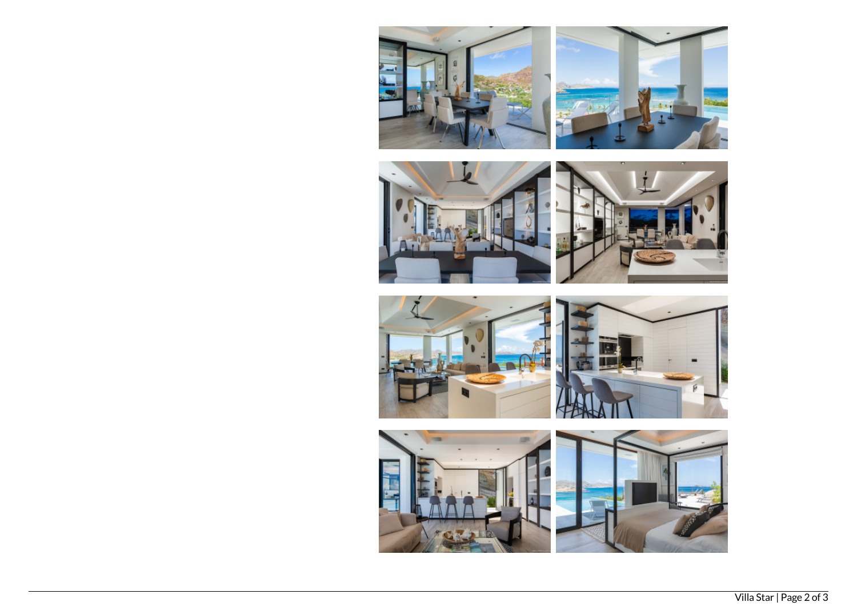